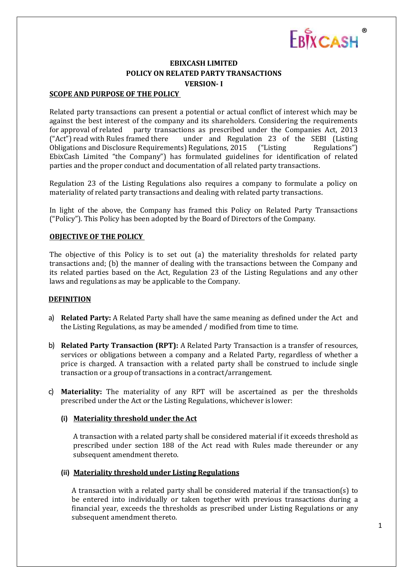

# **EBIXCASH LIMITED POLICY ON RELATED PARTY TRANSACTIONS VERSION- I**

# **SCOPE AND PURPOSE OF THE POLICY**

Related party transactions can present a potential or actual conflict of interest which may be against the best interest of the company and its shareholders. Considering the requirements for approval of related party transactions as prescribed under the Companies Act, 2013 ("Act") read with Rules framed there under and Regulation 23 of the SEBI (Listing Obligations and Disclosure Requirements) Regulations, 2015 ("Listing Regulations") EbixCash Limited "the Company") has formulated guidelines for identification of related parties and the proper conduct and documentation of all related party transactions.

Regulation 23 of the Listing Regulations also requires a company to formulate a policy on materiality of related party transactions and dealing with related party transactions.

In light of the above, the Company has framed this Policy on Related Party Transactions ("Policy"). This Policy has been adopted by the Board of Directors of the Company.

### **OBJECTIVE OF THE POLICY**

The objective of this Policy is to set out (a) the materiality thresholds for related party transactions and; (b) the manner of dealing with the transactions between the Company and its related parties based on the Act, Regulation 23 of the Listing Regulations and any other laws and regulations as may be applicable to the Company.

### **DEFINITION**

- a) **Related Party:** A Related Party shall have the same meaning as defined under the Act and the Listing Regulations, as may be amended / modified from time to time.
- b) **Related Party Transaction (RPT):** A Related Party Transaction is a transfer of resources, services or obligations between a company and a Related Party, regardless of whether a price is charged. A transaction with a related party shall be construed to include single transaction or a group of transactions in a contract/arrangement.
- c) **Materiality:** The materiality of any RPT will be ascertained as per the thresholds prescribed under the Act or the Listing Regulations, whichever is lower:

### **(i) Materiality threshold under the Act**

A transaction with a related party shall be considered material if it exceeds threshold as prescribed under section 188 of the Act read with Rules made thereunder or any subsequent amendment thereto.

## **(ii) Materiality threshold under Listing Regulations**

A transaction with a related party shall be considered material if the transaction(s) to be entered into individually or taken together with previous transactions during a financial year, exceeds the thresholds as prescribed under Listing Regulations or any subsequent amendment thereto.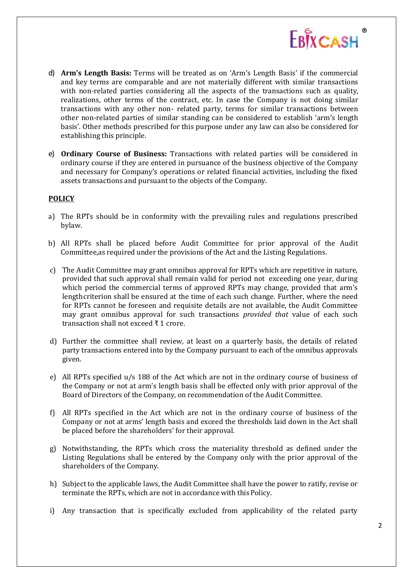

- d) **Arm's Length Basis:** Terms will be treated as on 'Arm's Length Basis' if the commercial and key terms are comparable and are not materially different with similar transactions with non-related parties considering all the aspects of the transactions such as quality, realizations, other terms of the contract, etc. In case the Company is not doing similar transactions with any other non- related party, terms for similar transactions between other non-related parties of similar standing can be considered to establish 'arm's length basis'. Other methods prescribed for this purpose under any law can also be considered for establishing this principle.
- e) **Ordinary Course of Business:** Transactions with related parties will be considered in ordinary course if they are entered in pursuance of the business objective of the Company and necessary for Company's operations or related financial activities, including the fixed assets transactions and pursuant to the objects of the Company.

# **POLICY**

- a) The RPTs should be in conformity with the prevailing rules and regulations prescribed bylaw.
- b) All RPTs shall be placed before Audit Committee for prior approval of the Audit Committee,as required under the provisions of the Act and the Listing Regulations.
- c) The Audit Committee may grant omnibus approval for RPTs which are repetitive in nature, provided that such approval shall remain valid for period not exceeding one year, during which period the commercial terms of approved RPTs may change, provided that arm's length criterion shall be ensured at the time of each such change. Further, where the need for RPTs cannot be foreseen and requisite details are not available, the Audit Committee may grant omnibus approval for such transactions *provided that* value of each such transaction shall not exceed ₹ 1 crore.
- d) Further the committee shall review, at least on a quarterly basis, the details of related party transactions entered into by the Company pursuant to each of the omnibus approvals given.
- e) All RPTs specified u/s 188 of the Act which are not in the ordinary course of business of the Company or not at arm's length basis shall be effected only with prior approval of the Board of Directors of the Company, on recommendation of the Audit Committee.
- f) All RPTs specified in the Act which are not in the ordinary course of business of the Company or not at arms' length basis and exceed the thresholds laid down in the Act shall be placed before the shareholders' for their approval.
- g) Notwithstanding, the RPTs which cross the materiality threshold as defined under the Listing Regulations shall be entered by the Company only with the prior approval of the shareholders of the Company.
- h) Subject to the applicable laws, the Audit Committee shall have the power to ratify, revise or terminate the RPTs, which are not in accordance with thisPolicy.
- i) Any transaction that is specifically excluded from applicability of the related party